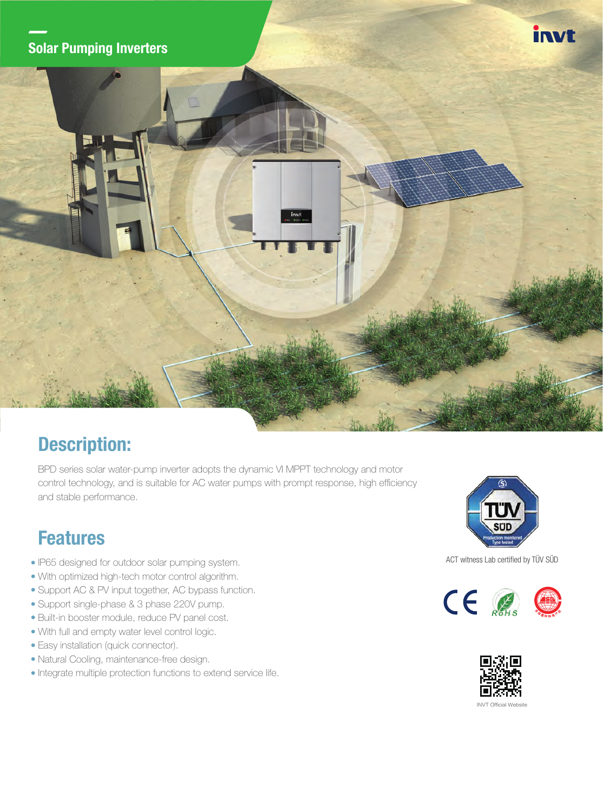#### Solar Pumping Inverters





## Description:

BPD series solar water-pump inverter adopts the dynamic VI MPPT technology and motor control technology, and is suitable for AC water pumps with prompt response, high efficiency and stable performance.

### Features

- IP65 designed for outdoor solar pumping system.
- With optimized high-tech motor control algorithm.
- Support AC & PV input together, AC bypass function.
- Support single-phase & 3 phase 220V pump.
- Built-in booster module, reduce PV panel cost.
- With full and empty water level control logic.
- Easy installation (quick connector).
- Natural Cooling, maintenance-free design.
- $\bullet$  Integrate multiple protection functions to extend service life.



#### ACT witness Lab certified by TÜV SÜD





**INVT Official Websit**